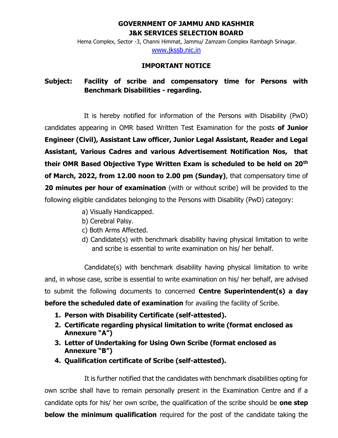### **GOVERNMENT OF JAMMU AND KASHMIR J&K SERVICES SELECTION BOARD**

Hema Complex, Sector -3, Channi Himmat, Jammu/ Zamzam Complex Rambagh Srinagar. [www.jkssb.nic.in](http://www.jkssb.nic.in/)

#### **IMPORTANT NOTICE**

## **Subject: Facility of scribe and compensatory time for Persons with Benchmark Disabilities - regarding.**

It is hereby notified for information of the Persons with Disability (PwD) candidates appearing in OMR based Written Test Examination for the posts **of Junior Engineer (Civil), Assistant Law officer, Junior Legal Assistant, Reader and Legal Assistant, Various Cadres and various Advertisement Notification Nos, that their OMR Based Objective Type Written Exam is scheduled to be held on 20th of March, 2022, from 12.00 noon to 2.00 pm (Sunday)**, that compensatory time of **20 minutes per hour of examination** (with or without scribe) will be provided to the following eligible candidates belonging to the Persons with Disability (PwD) category:

- a) Visually Handicapped.
- b) Cerebral Palsy.
- c) Both Arms Affected.
- d) Candidate(s) with benchmark disability having physical limitation to write and scribe is essential to write examination on his/ her behalf.

Candidate(s) with benchmark disability having physical limitation to write and, in whose case, scribe is essential to write examination on his/ her behalf, are advised to submit the following documents to concerned **Centre Superintendent(s) a day** 

**before the scheduled date of examination** for availing the facility of Scribe.

- **1. Person with Disability Certificate (self-attested).**
- **2. Certificate regarding physical limitation to write (format enclosed as Annexure "A")**
- **3. Letter of Undertaking for Using Own Scribe (format enclosed as Annexure "B")**
- **4. Qualification certificate of Scribe (self-attested).**

It is further notified that the candidates with benchmark disabilities opting for own scribe shall have to remain personally present in the Examination Centre and if a candidate opts for his/ her own scribe, the qualification of the scribe should be **one step below the minimum qualification** required for the post of the candidate taking the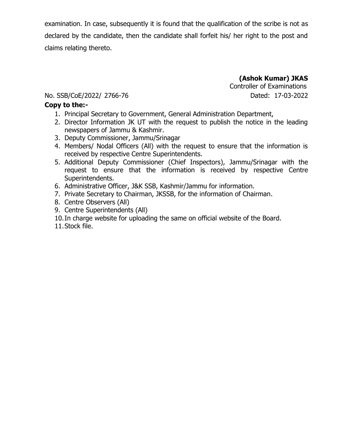examination. In case, subsequently it is found that the qualification of the scribe is not as declared by the candidate, then the candidate shall forfeit his/ her right to the post and claims relating thereto.

> **(Ashok Kumar) JKAS** Controller of Examinations

### No. SSB/CoE/2022/ 2766-76 Dated: 17-03-2022

#### **Copy to the:-**

- 1. Principal Secretary to Government, General Administration Department,
- 2. Director Information JK UT with the request to publish the notice in the leading newspapers of Jammu & Kashmir.
- 3. Deputy Commissioner, Jammu/Srinagar
- 4. Members/ Nodal Officers (All) with the request to ensure that the information is received by respective Centre Superintendents.
- 5. Additional Deputy Commissioner (Chief Inspectors), Jammu/Srinagar with the request to ensure that the information is received by respective Centre Superintendents.
- 6. Administrative Officer, J&K SSB, Kashmir/Jammu for information.
- 7. Private Secretary to Chairman, JKSSB, for the information of Chairman.
- 8. Centre Observers (All)
- 9. Centre Superintendents (All)
- 10.In charge website for uploading the same on official website of the Board.

11.Stock file.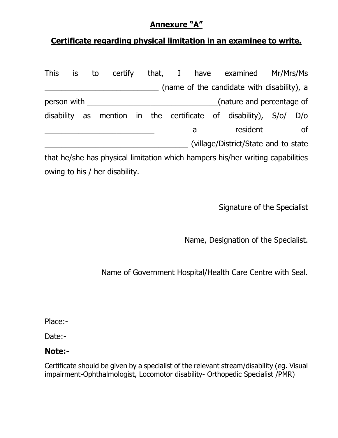# **Annexure "A"**

# **Certificate regarding physical limitation in an examinee to write.**

| <b>This</b>    | is | to |  |  |   | certify that, I have examined Mr/Mrs/Ms                                        |     |
|----------------|----|----|--|--|---|--------------------------------------------------------------------------------|-----|
|                |    |    |  |  |   | (name of the candidate with disability), a                                     |     |
| person with __ |    |    |  |  |   | (nature and percentage of                                                      |     |
| disability     |    |    |  |  |   | as mention in the certificate of disability), S/o/                             | D/O |
|                |    |    |  |  | a | resident                                                                       | _of |
|                |    |    |  |  |   | (village/District/State and to state                                           |     |
|                |    |    |  |  |   | that he/she has physical limitation which hampers his/her writing capabilities |     |

owing to his / her disability.

Signature of the Specialist

Name, Designation of the Specialist.

Name of Government Hospital/Health Care Centre with Seal.

Place:-

Date:-

## **Note:-**

Certificate should be given by a specialist of the relevant stream/disability (eg. Visual impairment-Ophthalmologist, Locomotor disability- Orthopedic Specialist /PMR)